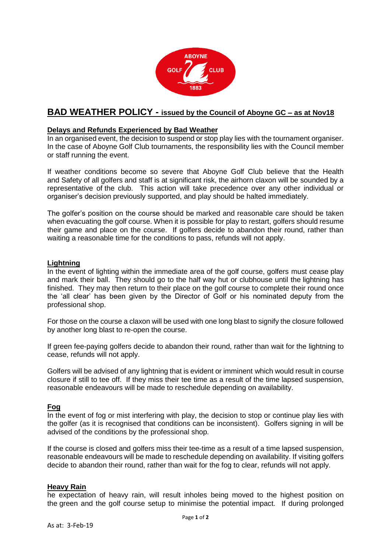

# **BAD WEATHER POLICY - issued by the Council of Aboyne GC – as at Nov18**

## **Delays and Refunds Experienced by Bad Weather**

In an organised event, the decision to suspend or stop play lies with the tournament organiser. In the case of Aboyne Golf Club tournaments, the responsibility lies with the Council member or staff running the event.

If weather conditions become so severe that Aboyne Golf Club believe that the Health and Safety of all golfers and staff is at significant risk, the airhorn claxon will be sounded by a representative of the club. This action will take precedence over any other individual or organiser's decision previously supported, and play should be halted immediately.

The golfer's position on the course should be marked and reasonable care should be taken when evacuating the golf course. When it is possible for play to restart, golfers should resume their game and place on the course. If golfers decide to abandon their round, rather than waiting a reasonable time for the conditions to pass, refunds will not apply.

#### **Lightning**

In the event of lighting within the immediate area of the golf course, golfers must cease play and mark their ball. They should go to the half way hut or clubhouse until the lightning has finished. They may then return to their place on the golf course to complete their round once the 'all clear' has been given by the Director of Golf or his nominated deputy from the professional shop.

For those on the course a claxon will be used with one long blast to signify the closure followed by another long blast to re-open the course.

If green fee-paying golfers decide to abandon their round, rather than wait for the lightning to cease, refunds will not apply.

Golfers will be advised of any lightning that is evident or imminent which would result in course closure if still to tee off. If they miss their tee time as a result of the time lapsed suspension, reasonable endeavours will be made to reschedule depending on availability.

# **Fog**

In the event of fog or mist interfering with play, the decision to stop or continue play lies with the golfer (as it is recognised that conditions can be inconsistent). Golfers signing in will be advised of the conditions by the professional shop.

If the course is closed and golfers miss their tee-time as a result of a time lapsed suspension, reasonable endeavours will be made to reschedule depending on availability. If visiting golfers decide to abandon their round, rather than wait for the fog to clear, refunds will not apply.

### **Heavy Rain**

he expectation of heavy rain, will result inholes being moved to the highest position on the green and the golf course setup to minimise the potential impact. If during prolonged